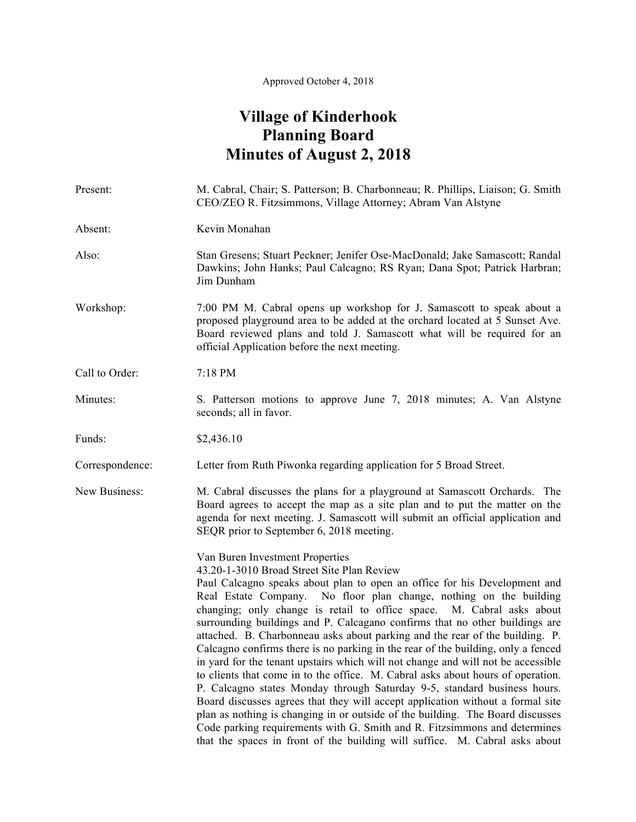## **Village of Kinderhook Planning Board Minutes of August 2, 2018**

| Present:        | M. Cabral, Chair; S. Patterson; B. Charbonneau; R. Phillips, Liaison; G. Smith<br>CEO/ZEO R. Fitzsimmons, Village Attorney; Abram Van Alstyne                                                                                                                                                                                                                                                                                                                                                                                                                                                                                                                                                                                                                                                                                                                                                                                                                                                                                                                                                                                                   |
|-----------------|-------------------------------------------------------------------------------------------------------------------------------------------------------------------------------------------------------------------------------------------------------------------------------------------------------------------------------------------------------------------------------------------------------------------------------------------------------------------------------------------------------------------------------------------------------------------------------------------------------------------------------------------------------------------------------------------------------------------------------------------------------------------------------------------------------------------------------------------------------------------------------------------------------------------------------------------------------------------------------------------------------------------------------------------------------------------------------------------------------------------------------------------------|
| Absent:         | Kevin Monahan                                                                                                                                                                                                                                                                                                                                                                                                                                                                                                                                                                                                                                                                                                                                                                                                                                                                                                                                                                                                                                                                                                                                   |
| Also:           | Stan Gresens; Stuart Peckner; Jenifer Ose-MacDonald; Jake Samascott; Randal<br>Dawkins; John Hanks; Paul Calcagno; RS Ryan; Dana Spot; Patrick Harbran;<br>Jim Dunham                                                                                                                                                                                                                                                                                                                                                                                                                                                                                                                                                                                                                                                                                                                                                                                                                                                                                                                                                                           |
| Workshop:       | 7:00 PM M. Cabral opens up workshop for J. Samascott to speak about a<br>proposed playground area to be added at the orchard located at 5 Sunset Ave.<br>Board reviewed plans and told J. Samascott what will be required for an<br>official Application before the next meeting.                                                                                                                                                                                                                                                                                                                                                                                                                                                                                                                                                                                                                                                                                                                                                                                                                                                               |
| Call to Order:  | 7:18 PM                                                                                                                                                                                                                                                                                                                                                                                                                                                                                                                                                                                                                                                                                                                                                                                                                                                                                                                                                                                                                                                                                                                                         |
| Minutes:        | S. Patterson motions to approve June 7, 2018 minutes; A. Van Alstyne<br>seconds; all in favor.                                                                                                                                                                                                                                                                                                                                                                                                                                                                                                                                                                                                                                                                                                                                                                                                                                                                                                                                                                                                                                                  |
| Funds:          | \$2,436.10                                                                                                                                                                                                                                                                                                                                                                                                                                                                                                                                                                                                                                                                                                                                                                                                                                                                                                                                                                                                                                                                                                                                      |
| Correspondence: | Letter from Ruth Piwonka regarding application for 5 Broad Street.                                                                                                                                                                                                                                                                                                                                                                                                                                                                                                                                                                                                                                                                                                                                                                                                                                                                                                                                                                                                                                                                              |
| New Business:   | M. Cabral discusses the plans for a playground at Samascott Orchards. The<br>Board agrees to accept the map as a site plan and to put the matter on the<br>agenda for next meeting. J. Samascott will submit an official application and<br>SEQR prior to September 6, 2018 meeting.                                                                                                                                                                                                                                                                                                                                                                                                                                                                                                                                                                                                                                                                                                                                                                                                                                                            |
|                 | Van Buren Investment Properties<br>43.20-1-3010 Broad Street Site Plan Review<br>Paul Calcagno speaks about plan to open an office for his Development and<br>Real Estate Company. No floor plan change, nothing on the building<br>changing; only change is retail to office space. M. Cabral asks about<br>surrounding buildings and P. Calcagano confirms that no other buildings are<br>attached. B. Charbonneau asks about parking and the rear of the building. P.<br>Calcagno confirms there is no parking in the rear of the building, only a fenced<br>in yard for the tenant upstairs which will not change and will not be accessible<br>to clients that come in to the office. M. Cabral asks about hours of operation.<br>P. Calcagno states Monday through Saturday 9-5, standard business hours.<br>Board discusses agrees that they will accept application without a formal site<br>plan as nothing is changing in or outside of the building. The Board discusses<br>Code parking requirements with G. Smith and R. Fitzsimmons and determines<br>that the spaces in front of the building will suffice. M. Cabral asks about |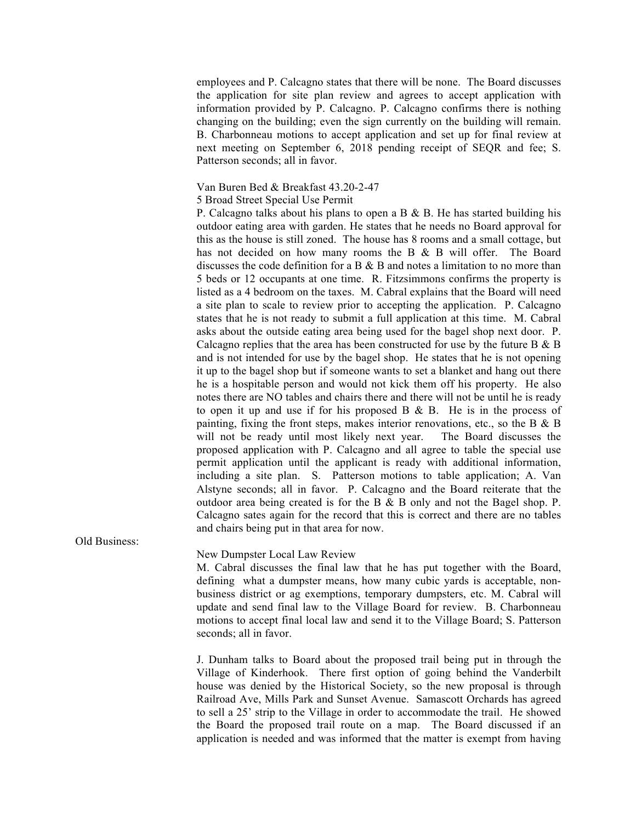employees and P. Calcagno states that there will be none. The Board discusses the application for site plan review and agrees to accept application with information provided by P. Calcagno. P. Calcagno confirms there is nothing changing on the building; even the sign currently on the building will remain. B. Charbonneau motions to accept application and set up for final review at next meeting on September 6, 2018 pending receipt of SEQR and fee; S. Patterson seconds; all in favor.

## Van Buren Bed & Breakfast 43.20-2-47

5 Broad Street Special Use Permit

P. Calcagno talks about his plans to open a B  $\&$  B. He has started building his outdoor eating area with garden. He states that he needs no Board approval for this as the house is still zoned. The house has 8 rooms and a small cottage, but has not decided on how many rooms the B & B will offer. The Board discusses the code definition for a B  $\&$  B and notes a limitation to no more than 5 beds or 12 occupants at one time. R. Fitzsimmons confirms the property is listed as a 4 bedroom on the taxes. M. Cabral explains that the Board will need a site plan to scale to review prior to accepting the application. P. Calcagno states that he is not ready to submit a full application at this time. M. Cabral asks about the outside eating area being used for the bagel shop next door. P. Calcagno replies that the area has been constructed for use by the future  $B \& B$ and is not intended for use by the bagel shop. He states that he is not opening it up to the bagel shop but if someone wants to set a blanket and hang out there he is a hospitable person and would not kick them off his property. He also notes there are NO tables and chairs there and there will not be until he is ready to open it up and use if for his proposed B & B. He is in the process of painting, fixing the front steps, makes interior renovations, etc., so the B & B will not be ready until most likely next year. The Board discusses the proposed application with P. Calcagno and all agree to table the special use permit application until the applicant is ready with additional information, including a site plan. S. Patterson motions to table application; A. Van Alstyne seconds; all in favor. P. Calcagno and the Board reiterate that the outdoor area being created is for the B & B only and not the Bagel shop. P. Calcagno sates again for the record that this is correct and there are no tables and chairs being put in that area for now.

Old Business:

New Dumpster Local Law Review

M. Cabral discusses the final law that he has put together with the Board, defining what a dumpster means, how many cubic yards is acceptable, nonbusiness district or ag exemptions, temporary dumpsters, etc. M. Cabral will update and send final law to the Village Board for review. B. Charbonneau motions to accept final local law and send it to the Village Board; S. Patterson seconds; all in favor.

J. Dunham talks to Board about the proposed trail being put in through the Village of Kinderhook. There first option of going behind the Vanderbilt house was denied by the Historical Society, so the new proposal is through Railroad Ave, Mills Park and Sunset Avenue. Samascott Orchards has agreed to sell a 25' strip to the Village in order to accommodate the trail. He showed the Board the proposed trail route on a map. The Board discussed if an application is needed and was informed that the matter is exempt from having